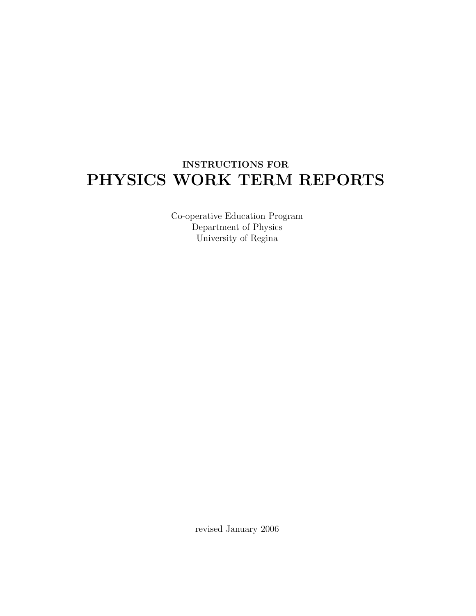# INSTRUCTIONS FOR PHYSICS WORK TERM REPORTS

Co-operative Education Program Department of Physics University of Regina

revised January 2006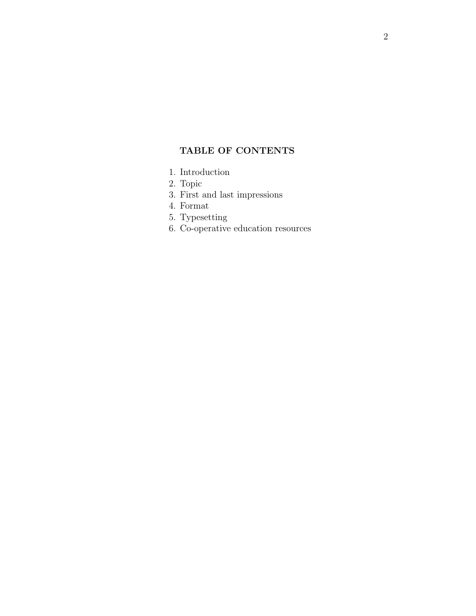### TABLE OF CONTENTS

- 1. Introduction
- 2. Topic
- 3. First and last impressions
- 4. Format
- 5. Typesetting
- 6. Co-operative education resources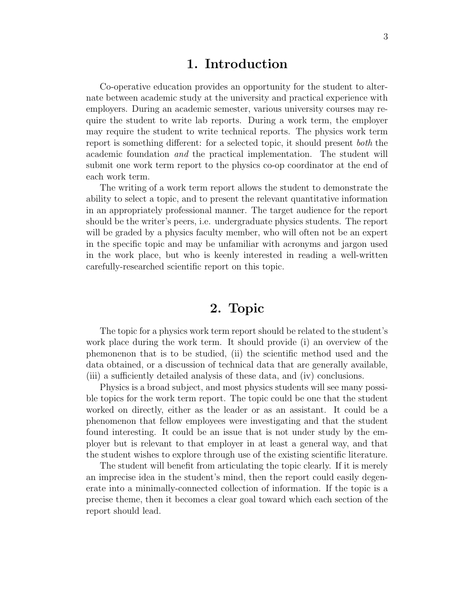### 1. Introduction

Co-operative education provides an opportunity for the student to alternate between academic study at the university and practical experience with employers. During an academic semester, various university courses may require the student to write lab reports. During a work term, the employer may require the student to write technical reports. The physics work term report is something different: for a selected topic, it should present both the academic foundation and the practical implementation. The student will submit one work term report to the physics co-op coordinator at the end of each work term.

The writing of a work term report allows the student to demonstrate the ability to select a topic, and to present the relevant quantitative information in an appropriately professional manner. The target audience for the report should be the writer's peers, i.e. undergraduate physics students. The report will be graded by a physics faculty member, who will often not be an expert in the specific topic and may be unfamiliar with acronyms and jargon used in the work place, but who is keenly interested in reading a well-written carefully-researched scientific report on this topic.

## 2. Topic

The topic for a physics work term report should be related to the student's work place during the work term. It should provide (i) an overview of the phemonenon that is to be studied, (ii) the scientific method used and the data obtained, or a discussion of technical data that are generally available, (iii) a sufficiently detailed analysis of these data, and (iv) conclusions.

Physics is a broad subject, and most physics students will see many possible topics for the work term report. The topic could be one that the student worked on directly, either as the leader or as an assistant. It could be a phenomenon that fellow employees were investigating and that the student found interesting. It could be an issue that is not under study by the employer but is relevant to that employer in at least a general way, and that the student wishes to explore through use of the existing scientific literature.

The student will benefit from articulating the topic clearly. If it is merely an imprecise idea in the student's mind, then the report could easily degenerate into a minimally-connected collection of information. If the topic is a precise theme, then it becomes a clear goal toward which each section of the report should lead.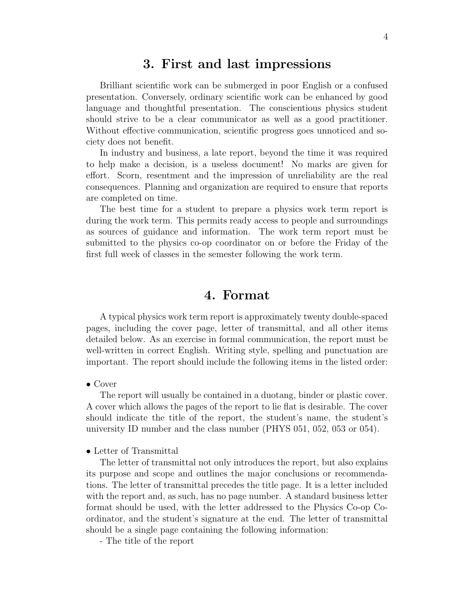### 3. First and last impressions

Brilliant scientific work can be submerged in poor English or a confused presentation. Conversely, ordinary scientific work can be enhanced by good language and thoughtful presentation. The conscientious physics student should strive to be a clear communicator as well as a good practitioner. Without effective communication, scientific progress goes unnoticed and society does not benefit.

In industry and business, a late report, beyond the time it was required to help make a decision, is a useless document! No marks are given for effort. Scorn, resentment and the impression of unreliability are the real consequences. Planning and organization are required to ensure that reports are completed on time.

The best time for a student to prepare a physics work term report is during the work term. This permits ready access to people and surroundings as sources of guidance and information. The work term report must be submitted to the physics co-op coordinator on or before the Friday of the first full week of classes in the semester following the work term.

### 4. Format

A typical physics work term report is approximately twenty double-spaced pages, including the cover page, letter of transmittal, and all other items detailed below. As an exercise in formal communication, the report must be well-written in correct English. Writing style, spelling and punctuation are important. The report should include the following items in the listed order:

#### • Cover

The report will usually be contained in a duotang, binder or plastic cover. A cover which allows the pages of the report to lie flat is desirable. The cover should indicate the title of the report, the student's name, the student's university ID number and the class number (PHYS 051, 052, 053 or 054).

#### • Letter of Transmittal

The letter of transmittal not only introduces the report, but also explains its purpose and scope and outlines the major conclusions or recommendations. The letter of transmittal precedes the title page. It is a letter included with the report and, as such, has no page number. A standard business letter format should be used, with the letter addressed to the Physics Co-op Coordinator, and the student's signature at the end. The letter of transmittal should be a single page containing the following information:

- The title of the report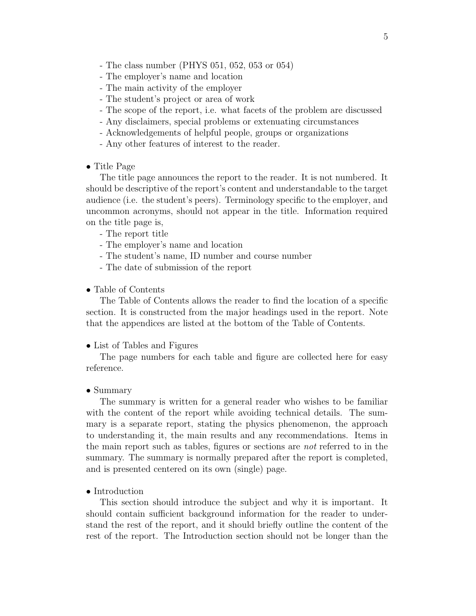- The class number (PHYS 051, 052, 053 or 054)
- The employer's name and location
- The main activity of the employer
- The student's project or area of work
- The scope of the report, i.e. what facets of the problem are discussed
- Any disclaimers, special problems or extenuating circumstances
- Acknowledgements of helpful people, groups or organizations
- Any other features of interest to the reader.

#### • Title Page

The title page announces the report to the reader. It is not numbered. It should be descriptive of the report's content and understandable to the target audience (i.e. the student's peers). Terminology specific to the employer, and uncommon acronyms, should not appear in the title. Information required on the title page is,

- The report title
- The employer's name and location
- The student's name, ID number and course number
- The date of submission of the report

#### • Table of Contents

The Table of Contents allows the reader to find the location of a specific section. It is constructed from the major headings used in the report. Note that the appendices are listed at the bottom of the Table of Contents.

#### • List of Tables and Figures

The page numbers for each table and figure are collected here for easy reference.

#### • Summary

The summary is written for a general reader who wishes to be familiar with the content of the report while avoiding technical details. The summary is a separate report, stating the physics phenomenon, the approach to understanding it, the main results and any recommendations. Items in the main report such as tables, figures or sections are not referred to in the summary. The summary is normally prepared after the report is completed, and is presented centered on its own (single) page.

#### • Introduction

This section should introduce the subject and why it is important. It should contain sufficient background information for the reader to understand the rest of the report, and it should briefly outline the content of the rest of the report. The Introduction section should not be longer than the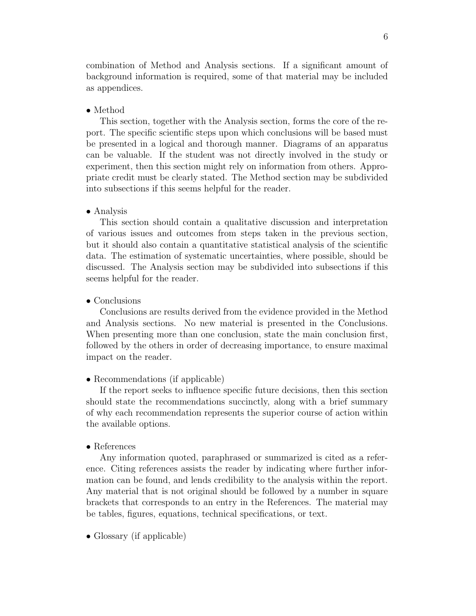combination of Method and Analysis sections. If a significant amount of background information is required, some of that material may be included as appendices.

#### • Method

This section, together with the Analysis section, forms the core of the report. The specific scientific steps upon which conclusions will be based must be presented in a logical and thorough manner. Diagrams of an apparatus can be valuable. If the student was not directly involved in the study or experiment, then this section might rely on information from others. Appropriate credit must be clearly stated. The Method section may be subdivided into subsections if this seems helpful for the reader.

#### • Analysis

This section should contain a qualitative discussion and interpretation of various issues and outcomes from steps taken in the previous section, but it should also contain a quantitative statistical analysis of the scientific data. The estimation of systematic uncertainties, where possible, should be discussed. The Analysis section may be subdivided into subsections if this seems helpful for the reader.

#### • Conclusions

Conclusions are results derived from the evidence provided in the Method and Analysis sections. No new material is presented in the Conclusions. When presenting more than one conclusion, state the main conclusion first, followed by the others in order of decreasing importance, to ensure maximal impact on the reader.

#### • Recommendations (if applicable)

If the report seeks to influence specific future decisions, then this section should state the recommendations succinctly, along with a brief summary of why each recommendation represents the superior course of action within the available options.

#### • References

Any information quoted, paraphrased or summarized is cited as a reference. Citing references assists the reader by indicating where further information can be found, and lends credibility to the analysis within the report. Any material that is not original should be followed by a number in square brackets that corresponds to an entry in the References. The material may be tables, figures, equations, technical specifications, or text.

• Glossary (if applicable)